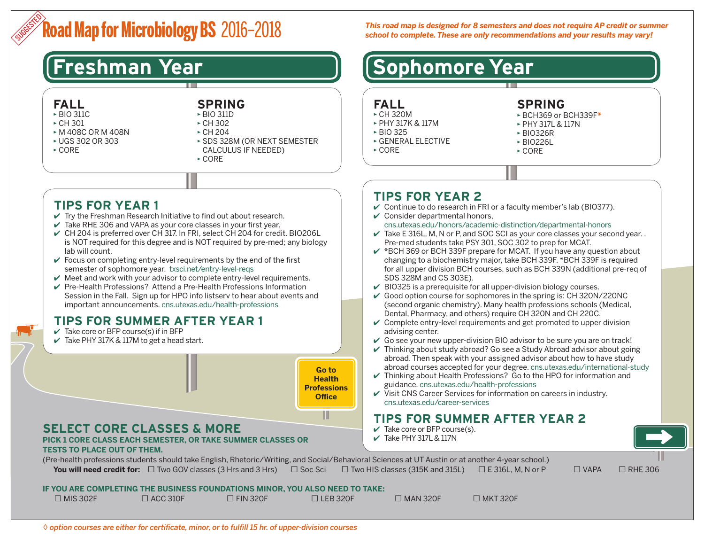# **Road Map for Microbiology BS** 2016–2018 SUGGESTED

# **FALL**

- ▶ BIO 311C
- $\triangleright$  CH 301
- ▶ M 408C OR M 408N
- ▶ UGS 302 OR 303
- $\triangleright$  CORE

#### **SPRING** ▶ BIO 311D

- ▶ CH 302
- ▶ CH 204 ▶ SDS 328M (OR NEXT SEMESTER
- CALCULUS IF NEEDED)
- ▶ CORE

# **TIPS FOR YEAR 1**

- $\vee$  Try the Freshman Research Initiative to find out about research.
- $\vee$  Take RHE 306 and VAPA as your core classes in your first year.
- ✔ CH 204 is preferred over CH 317. In FRI, select CH 204 for credit. BIO206L is NOT required for this degree and is NOT required by pre-med; any biology lab will count.
- $\vee$  Focus on completing entry-level requirements by the end of the first semester of sophomore year. [txsci.net/entry-level-reqs](http://txsci.net/entry-level-reqs)
- $\vee$  Meet and work with your advisor to complete entry-level requirements.
- ✔ Pre-Health Professions? Attend a Pre-Health Professions Information Session in the Fall. Sign up for HPO info listserv to hear about events and important announcements. [cns.utexas.edu/health-professions](http://cns.utexas.edu/health-professions)

# **TIPS FOR SUMMER AFTER YEAR 1**

- $\vee$  Take core or BFP course(s) if in BFP
- $\vee$  Take PHY 317K & 117M to get a head start.



*This road map is designed for 8 semesters and does not require AP credit or summer school to complete. These are only recommendations and your results may vary!*

#### **Freshman Year [Sophomore Year**] **FALL**  ▶ CH 320M ▶ PHY 317K & 117M ▶ BIO 325 ▶ GENERAL ELECTIVE ▶ CORE **SPRING**  ▶ BCH369 or BCH339F*\** ▶ PHY 317L & 117N ▶ BIO326R ▶ BIO226L ▶ CORE **TIPS FOR YEAR 2**  $\vee$  Continue to do research in FRI or a faculty member's lab (BIO377).  $\vee$  Consider departmental honors, [cns.utexas.edu/honors/academic-distinction/departmental-honors](http://cns.utexas.edu/honors/academic-distinction/departmental-honors)  $\checkmark$  Take E 316L, M, N or P, and SOC SCI as your core classes your second year.. Pre-med students take PSY 301, SOC 302 to prep for MCAT.  $\checkmark$  \*BCH 369 or BCH 339F prepare for MCAT. If you have any question about changing to a biochemistry major, take BCH 339F. \*BCH 339F is required for all upper division BCH courses, such as BCH 339N (additional pre-req of SDS 328M and CS 303E).  $\vee$  BIO325 is a prerequisite for all upper-division biology courses.  $\vee$  Good option course for sophomores in the spring is: CH 320N/220NC (second organic chemistry). Many health professions schools (Medical, Dental, Pharmacy, and others) require CH 320N and CH 220C.  $\vee$  Complete entry-level requirements and get promoted to upper division advising center.

- $\vee$  Go see your new upper-division BIO advisor to be sure you are on track!
- $\vee$  Thinking about study abroad? Go see a Study Abroad advisor about going abroad. Then speak with your assigned advisor about how to have study abroad courses accepted for your degree. [cns.utexas.edu/international-study](http://cns.utexas.edu/international-study)
- $\vee$  Thinking about Health Professions? Go to the HPO for information and guidance. [cns.utexas.edu/health-professions](http://cns.utexas.edu/health-professions)
- $\checkmark$  Visit CNS Career Services for information on careers in industry. [cns.utexas.edu/career-services](http://cns.utexas.edu/career-services)

# **TIPS FOR SUMMER AFTER YEAR 2**

- $\checkmark$  Take core or BFP course(s).
- $\checkmark$  Take PHY 317L & 117N

(Pre-health professions students should take English, Rhetoric/Writing, and Social/Behavioral Sciences at UT Austin or at another 4-year school.) **You will need credit for:** □ Two GOV classes (3 Hrs and 3 Hrs) □ Soc Sci □ Two HIS classes (315K and 315L) □ E 316L, M, N or P □ VAPA □ RHE 306

### **IF YOU ARE COMPLETING THE BUSINESS FOUNDATIONS MINOR, YOU ALSO NEED TO TAKE:**

| $\Box$ MIS 302F | $\Box$ ACC 310F | <b>IFIN 320F</b> | $\Box$ LEB 320F | $\Box$ MAN 320F | $\Box$ MKT 320F |
|-----------------|-----------------|------------------|-----------------|-----------------|-----------------|
|                 |                 |                  |                 |                 |                 |

◊ *option courses are either for certificate, minor, or to fulfill 15 hr. of upper-division courses*